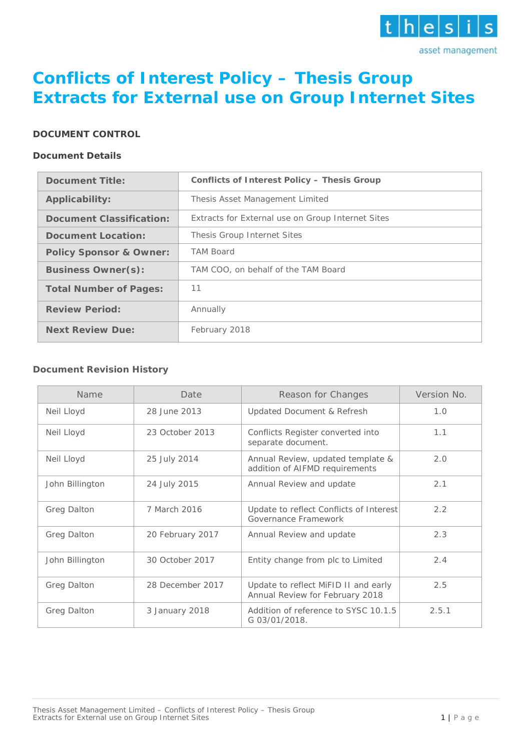

# **Conflicts of Interest Policy – Thesis Group Extracts for External use on Group Internet Sites**

### **DOCUMENT CONTROL**

#### **Document Details**

| <b>Document Title:</b>             | <b>Conflicts of Interest Policy - Thesis Group</b> |
|------------------------------------|----------------------------------------------------|
| Applicability:                     | Thesis Asset Management Limited                    |
| <b>Document Classification:</b>    | Extracts for External use on Group Internet Sites  |
| <b>Document Location:</b>          | Thesis Group Internet Sites                        |
| <b>Policy Sponsor &amp; Owner:</b> | <b>TAM Board</b>                                   |
| <b>Business Owner(s):</b>          | TAM COO, on behalf of the TAM Board                |
| <b>Total Number of Pages:</b>      | 11                                                 |
| <b>Review Period:</b>              | Annually                                           |
| <b>Next Review Due:</b>            | February 2018                                      |

### **Document Revision History**

| Name               | Date             | Reason for Changes                                                      | Version No. |
|--------------------|------------------|-------------------------------------------------------------------------|-------------|
| Neil Lloyd         | 28 June 2013     | <b>Updated Document &amp; Refresh</b>                                   | 1.0         |
| Neil Lloyd         | 23 October 2013  | Conflicts Register converted into<br>separate document.                 | 1.1         |
| Neil Lloyd         | 25 July 2014     | Annual Review, updated template &<br>addition of AIFMD requirements     | 2.0         |
| John Billington    | 24 July 2015     | Annual Review and update                                                | 2.1         |
| Greg Dalton        | 7 March 2016     | Update to reflect Conflicts of Interest<br>Governance Framework         | 2.2         |
| Greg Dalton        | 20 February 2017 | Annual Review and update                                                | 2.3         |
| John Billington    | 30 October 2017  | Entity change from plc to Limited                                       | 2.4         |
| Greg Dalton        | 28 December 2017 | Update to reflect MiFID II and early<br>Annual Review for February 2018 | 2.5         |
| <b>Greg Dalton</b> | 3 January 2018   | Addition of reference to SYSC 10.1.5<br>G 03/01/2018.                   | 2.5.1       |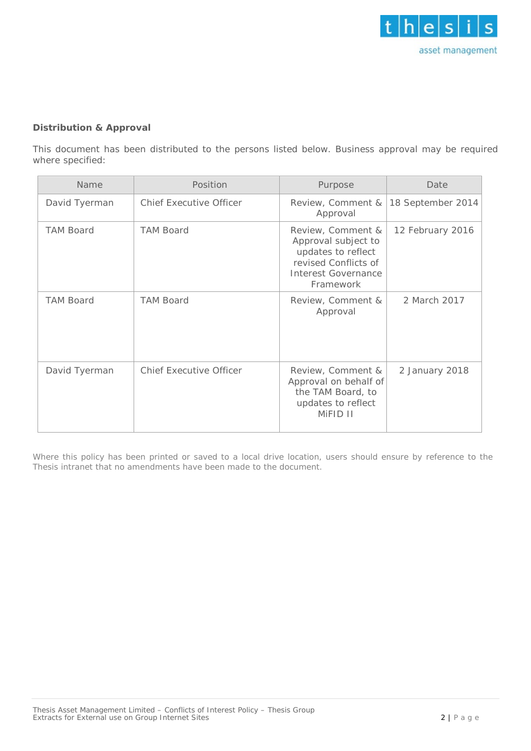

### **Distribution & Approval**

This document has been distributed to the persons listed below. Business approval may be required where specified:

| Name             | Position                       | Purpose                                                                                                                    | Date              |  |
|------------------|--------------------------------|----------------------------------------------------------------------------------------------------------------------------|-------------------|--|
| David Tyerman    | <b>Chief Executive Officer</b> | Review, Comment &<br>Approval                                                                                              | 18 September 2014 |  |
| <b>TAM Board</b> | <b>TAM Board</b>               | Review, Comment &<br>Approval subject to<br>updates to reflect<br>revised Conflicts of<br>Interest Governance<br>Framework | 12 February 2016  |  |
| <b>TAM Board</b> | <b>TAM Board</b>               | Review, Comment &<br>Approval                                                                                              | 2 March 2017      |  |
| David Tyerman    | <b>Chief Executive Officer</b> | Review, Comment &<br>Approval on behalf of<br>the TAM Board, to<br>updates to reflect<br>MIFID II                          | 2 January 2018    |  |

Where this policy has been printed or saved to a local drive location, users should ensure by reference to the Thesis intranet that no amendments have been made to the document.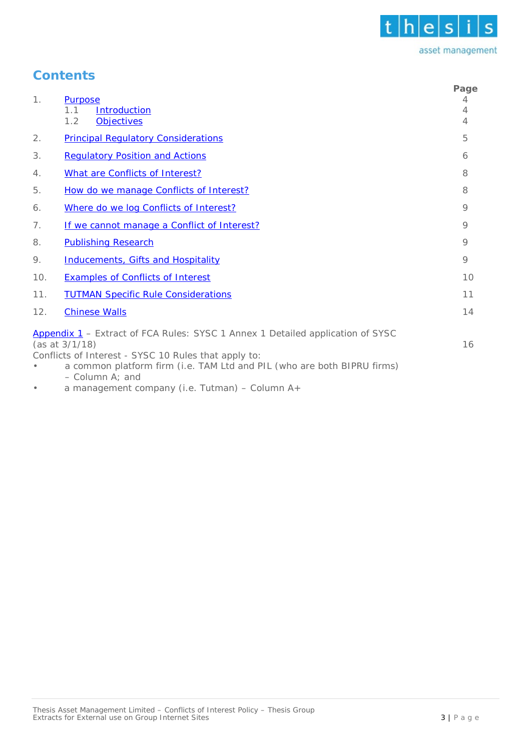

## **Contents**

| 1.  | <b>Purpose</b><br>1.1<br><b>Introduction</b><br>1.2<br><b>Objectives</b>                                                                                                                                                                                   | Page<br>4<br>4<br>4 |
|-----|------------------------------------------------------------------------------------------------------------------------------------------------------------------------------------------------------------------------------------------------------------|---------------------|
| 2.  | <b>Principal Requlatory Considerations</b>                                                                                                                                                                                                                 | 5                   |
| 3.  | <b>Requlatory Position and Actions</b>                                                                                                                                                                                                                     | 6                   |
| 4.  | What are Conflicts of Interest?                                                                                                                                                                                                                            | 8                   |
| 5.  | How do we manage Conflicts of Interest?                                                                                                                                                                                                                    | 8                   |
| 6.  | Where do we log Conflicts of Interest?                                                                                                                                                                                                                     | $\circ$             |
| 7.  | If we cannot manage a Conflict of Interest?                                                                                                                                                                                                                | 9                   |
| 8.  | <b>Publishing Research</b>                                                                                                                                                                                                                                 | 9                   |
| 9.  | <b>Inducements, Gifts and Hospitality</b>                                                                                                                                                                                                                  | 9                   |
| 10. | <b>Examples of Conflicts of Interest</b>                                                                                                                                                                                                                   | 10                  |
| 11. | <b>TUTMAN Specific Rule Considerations</b>                                                                                                                                                                                                                 | 11                  |
| 12. | <b>Chinese Walls</b>                                                                                                                                                                                                                                       | 14                  |
|     | Appendix 1 - Extract of FCA Rules: SYSC 1 Annex 1 Detailed application of SYSC<br>$(as at 3/1/18)$<br>Conflicts of Interest - SYSC 10 Rules that apply to:<br>a common platform firm (i.e. TAM Ltd and PIL (who are both BIPRU firms)<br>$-$ Column A; and | 16                  |

<span id="page-2-0"></span>• a management company (i.e. Tutman) – Column A+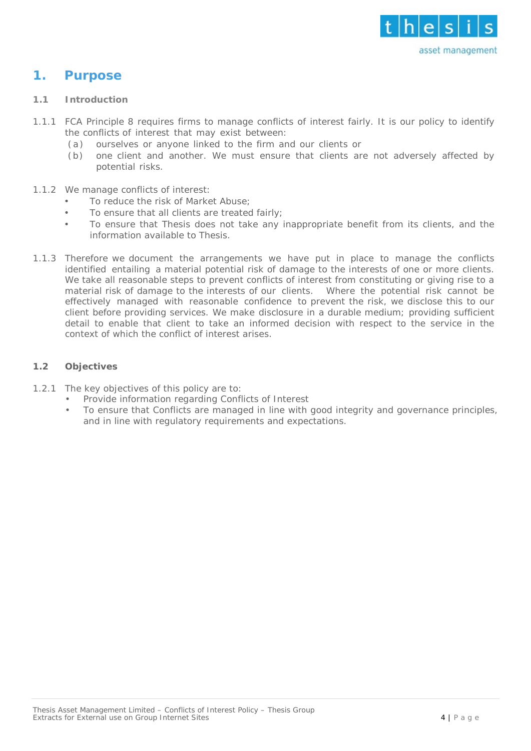

### **1. Purpose**

#### <span id="page-3-0"></span>**1.1 Introduction**

- 1.1.1 FCA Principle 8 requires firms to manage conflicts of interest fairly. It is our policy to identify the conflicts of interest that may exist between:
	- (a) ourselves or anyone linked to the firm and our clients or
	- (b) one client and another. We must ensure that clients are not adversely affected by potential risks.
- 1.1.2 We manage conflicts of interest:
	- To reduce the risk of Market Abuse;
	- To ensure that all clients are treated fairly:
	- To ensure that Thesis does not take any inappropriate benefit from its clients, and the information available to Thesis.
- 1.1.3 Therefore we document the arrangements we have put in place to manage the conflicts identified entailing a material potential risk of damage to the interests of one or more [clie](http://fsahandbook.info/FSA/glossary-html/handbook/Glossary/C?definition=G156)nts. We take all reasonable steps to prevent conflicts of interest from constituting or giving rise to a material risk of damage to the interests of our [clients. W](http://fsahandbook.info/FSA/glossary-html/handbook/Glossary/C?definition=G156)here the potential risk cannot be effectively managed with reasonable confidence to prevent the risk, we disclose this to our client before providing services. We make disclosure in a [durable](http://fsahandbook.info/FSA/glossary-html/handbook/Glossary/D?definition=G1286) [medium;](http://fsahandbook.info/FSA/glossary-html/handbook/Glossary/D?definition=G1286) providing sufficient detail to enable that [client](http://fsahandbook.info/FSA/glossary-html/handbook/Glossary/C?definition=G156) to take an informed decision with respect to the service in the context of which the conflict of interest arises.

### <span id="page-3-1"></span>**1.2 Objectives**

- 1.2.1 The key objectives of this policy are to:
	- Provide information regarding Conflicts of Interest
		- To ensure that Conflicts are managed in line with good integrity and governance principles, and in line with regulatory requirements and expectations.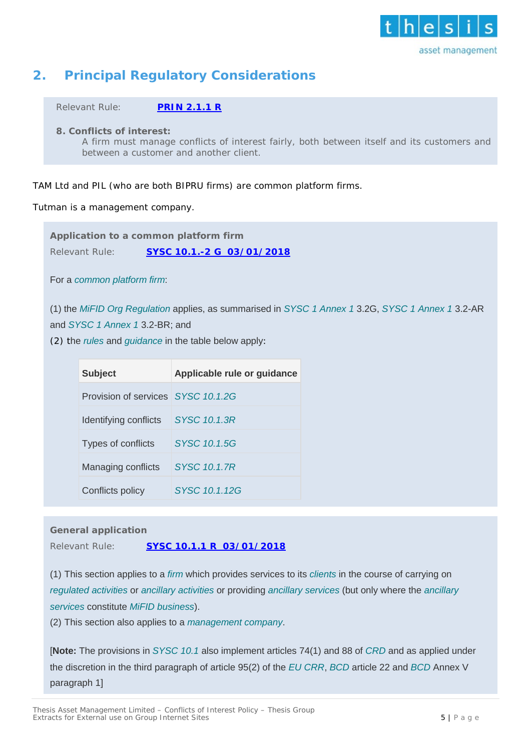

## <span id="page-4-0"></span>**2. Principal Regulatory Considerations**

Relevant Rule: **[PRIN](http://fshandbook.info/FS/html/FCA/PRIN/2/1) 2.1.1 R**

**8. Conflicts of interest:**

A firm must manage conflicts of interest fairly, both between itself and its customers and between a customer and another client.

### TAM Ltd and PIL (who are both BIPRU firms) are common platform firms.

Tutman is a management company.

**Application to a common platform firm** Relevant Rule: **SYSC 10.1.-2 G 03/01/2018**

For a *[common platform firm](https://www.handbook.fca.org.uk/handbook/glossary/G1967.html?date=2018-01-03)*:

(1) the *[MiFID Org Regulation](https://www.handbook.fca.org.uk/handbook/glossary/G3560m.html?date=2018-01-03)* applies, as summarised in *[SYSC 1 Annex 1](https://www.handbook.fca.org.uk/handbook/SYSC/1/Annex1.html?date=2018-01-03#D126)* 3.2G, *[SYSC 1 Annex 1](https://www.handbook.fca.org.uk/handbook/SYSC/1/Annex1.html?date=2018-01-03#D126)* 3.2-AR

and *[SYSC 1 Annex 1](https://www.handbook.fca.org.uk/handbook/SYSC/1/Annex1.html?date=2018-01-03#D126)* 3.2-BR; and

(2) the *[rules](https://www.handbook.fca.org.uk/handbook/glossary/G1036.html?date=2018-01-03)* and *[guidance](https://www.handbook.fca.org.uk/handbook/glossary/G494.html?date=2018-01-03)* in the table below apply:

| <b>Subject</b>                     | Applicable rule or guidance |
|------------------------------------|-----------------------------|
| Provision of services SYSC 10.1.2G |                             |
| Identifying conflicts              | SYSC 10.1.3R                |
| Types of conflicts                 | SYSC 10.1.5G                |
| Managing conflicts                 | <b>SYSC 10.1.7R</b>         |
| Conflicts policy                   | SYSC 10 1 12G               |

**General application** Relevant Rule: **SYSC 10.1.1 R 03/01/2018**

(1)5This section applies to a *[firm](https://www.handbook.fca.org.uk/handbook/glossary/G430.html?date=2018-01-03)* which provides services to its *[clients](https://www.handbook.fca.org.uk/handbook/glossary/G156.html?date=2018-01-03)* in the course of carrying on *[regulated activities](https://www.handbook.fca.org.uk/handbook/glossary/G974.html?date=2018-01-03)* or *[ancillary activities](https://www.handbook.fca.org.uk/handbook/glossary/G36.html?date=2018-01-03)* or providing *[ancillary services](https://www.handbook.fca.org.uk/handbook/glossary/G1965.html?date=2018-01-03)* (but only where the *[ancillary](https://www.handbook.fca.org.uk/handbook/glossary/G1965.html?date=2018-01-03)  [services](https://www.handbook.fca.org.uk/handbook/glossary/G1965.html?date=2018-01-03)* constitute *[MiFID business](https://www.handbook.fca.org.uk/handbook/glossary/G1976.html?date=2018-01-03)*).

(2) 5This section also applies to a *[management company](https://www.handbook.fca.org.uk/handbook/glossary/G2455.html?date=2018-01-03)*.

[**Note:** The provisions in *[SYSC 10.1](https://www.handbook.fca.org.uk/handbook/SYSC/10/1.html?date=2018-01-03#D2)* also implement articles 74(1) and 88 of *[CRD](https://www.handbook.fca.org.uk/handbook/glossary/G1966.html?date=2018-01-03)* and as applied under the discretion in the third paragraph of article 95(2) of the *[EU CRR](https://www.handbook.fca.org.uk/handbook/glossary/G3239.html?date=2018-01-03)*, *[BCD](https://www.handbook.fca.org.uk/handbook/glossary/G104.html?date=2018-01-03)* article 22 and *[BCD](https://www.handbook.fca.org.uk/handbook/glossary/G104.html?date=2018-01-03)* Annex V paragraph 1]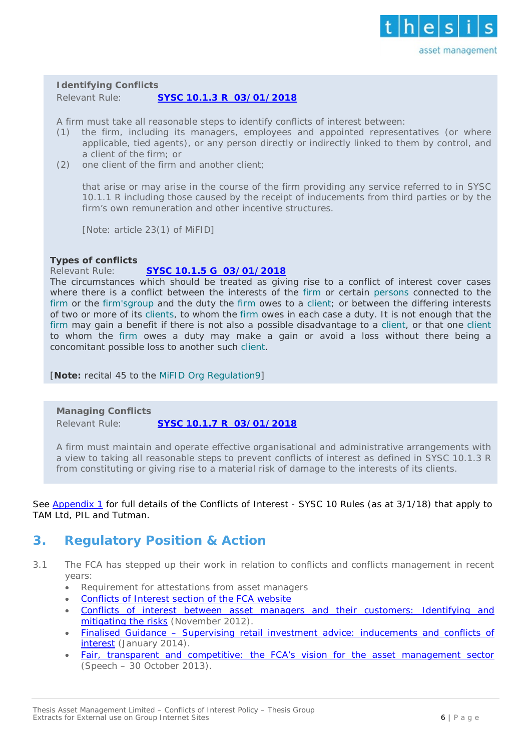

**Identifying Conflicts**

Relevant Rule: **SYSC 10.1.3 R 03/01/2018**

A firm must take all reasonable steps to identify conflicts of interest between:

- (1) the firm, including its managers, employees and appointed representatives (or where applicable, tied agents), or any person directly or indirectly linked to them by control, and a client of the firm; or
- (2) one client of the firm and another client;

that arise or may arise in the course of the firm providing any service referred to in SYSC 10.1.1 R including those caused by the receipt of inducements from third parties or by the firm's own remuneration and other incentive structures.

[Note: article 23(1) of MiFID]

### **Types of conflicts**

### Relevant Rule: **SYSC 10.1.5 G 03/01/2018**

The circumstances which should be treated as giving rise to a conflict of interest cover cases where there is a conflict between the interests of the *[firm](https://www.handbook.fca.org.uk/handbook/glossary/G430.html)* or certain *[persons](https://www.handbook.fca.org.uk/handbook/glossary/G869.html)* connected to the *[firm](https://www.handbook.fca.org.uk/handbook/glossary/G430.html)* or the *[firm'sgroup](https://www.handbook.fca.org.uk/handbook/glossary/G430.html)* and the duty the *[firm](https://www.handbook.fca.org.uk/handbook/glossary/G430.html)* owes to a *[client](https://www.handbook.fca.org.uk/handbook/glossary/G156.html)*; or between the differing interests of two or more of its *[clients](https://www.handbook.fca.org.uk/handbook/glossary/G156.html)*, to whom the *[firm](https://www.handbook.fca.org.uk/handbook/glossary/G430.html)* owes in each case a duty. It is not enough that the *[firm](https://www.handbook.fca.org.uk/handbook/glossary/G430.html)* may gain a benefit if there is not also a possible disadvantage to a *[client](https://www.handbook.fca.org.uk/handbook/glossary/G156.html)*, or that one *[client](https://www.handbook.fca.org.uk/handbook/glossary/G156.html)* to whom the *[firm](https://www.handbook.fca.org.uk/handbook/glossary/G430.html)* owes a duty may make a gain or avoid a loss without there being a concomitant possible loss to another such *[client](https://www.handbook.fca.org.uk/handbook/glossary/G156.html)*.

[**Note:** recital 45 to the *[MiFID Org Regulation](https://www.handbook.fca.org.uk/handbook/glossary/G3560m.html)*[9\]](https://www.handbook.fca.org.uk/handbook/glossary/G3560m.html)

### **Managing Conflicts**

Relevant Rule: **SYSC 10.1.7 R 03/01/2018**

A firm must maintain and operate effective organisational and administrative arrangements with a view to taking all reasonable steps to prevent conflicts of interest as defined in SYSC 10.1.3 R from constituting or giving rise to a material risk of damage to the interests of its clients.

See [Appendix 1](#page-15-0) for full details of the Conflicts of Interest - SYSC 10 Rules (as at 3/1/18) that apply to TAM Ltd, PIL and Tutman.

### **3. Regulatory Position & Action**

- 3.1 The FCA has stepped up their work in relation to conflicts and conflicts management in recent years:
	- Requirement for attestations from asset managers
	- [Conflicts of Interest section of the FCA website](http://www.fca.org.uk/firms/being-regulated/meeting-your-obligations/firm-guides/insurance-intermediaries/conflicts-interest)
	- [Conflicts of interest between asset managers and their customers: Identifying and](http://www.fca.org.uk/static/pubs/other/conflicts-of-interest.pdf)  [mitigating the risks](http://www.fca.org.uk/static/pubs/other/conflicts-of-interest.pdf) (November 2012).
	- Finalised Guidance [Supervising retail investment advice: inducements and conflicts of](http://www.fca.org.uk/your-fca/documents/finalised-guidance/fg14-01)  [interest](http://www.fca.org.uk/your-fca/documents/finalised-guidance/fg14-01) (January 2014).
	- [Fair, transparent and competitive: the FCA's vision for the asset management sector](http://www.fca.org.uk/news/fair-transparent-and-competitive-the-fcas-vision-for-the-asset-management-sector) (Speech – 30 October 2013).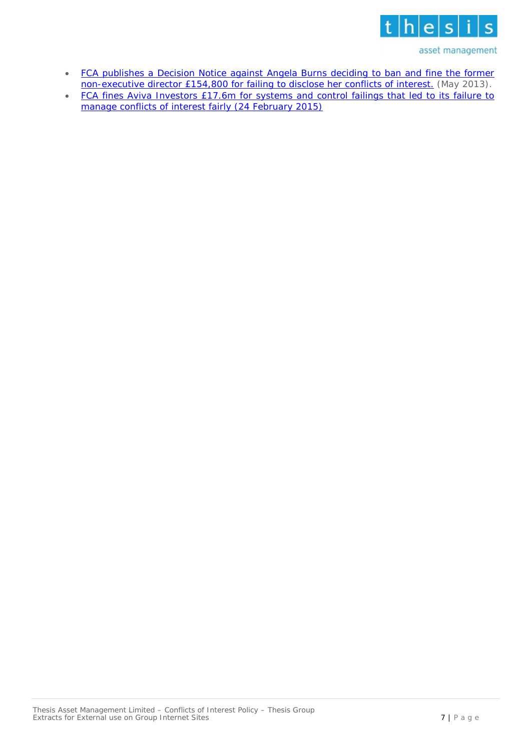

- FCA publishes a Decision Notice against Angela Burns deciding to ban and fine the former [non-executive director £154,800 for failing to disclose her conflicts of interest.](http://www.fca.org.uk/news/decision-notice-angela-burns) (May 2013).
- FCA fines Aviva Investors £17.6m for systems and control failings that led to its failure to [manage conflicts of interest fairly \(24 February 2015\)](http://www.fca.org.uk/news/fca-fines-aviva-investors-176m-for-systems-and-controls-failings)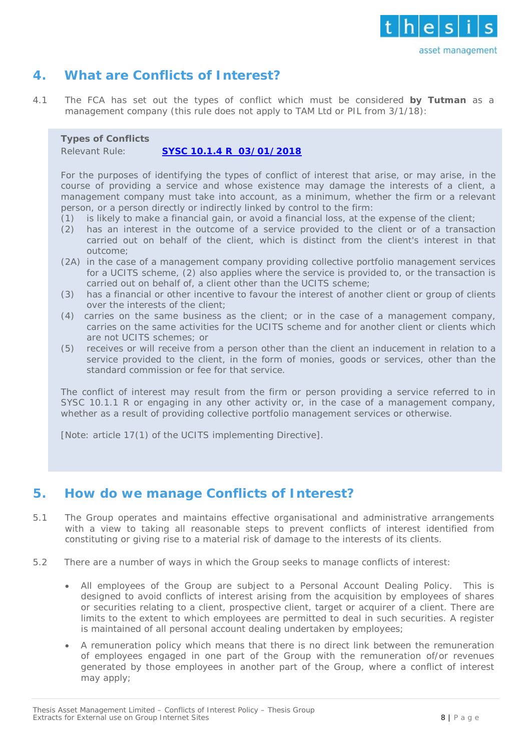

### <span id="page-7-0"></span>**4. What are Conflicts of Interest?**

4.1 The FCA has set out the types of conflict which must be considered **by Tutman** as a management company (this rule does not apply to TAM Ltd or PIL from 3/1/18):

### **Types of Conflicts**

### Relevant Rule: **SYSC 10.1.4 R 03/01/2018**

For the purposes of identifying the types of conflict of interest that arise, or may arise, in the course of providing a service and whose existence may damage the interests of a client, a management company must take into account, as a minimum, whether the firm or a relevant person, or a person directly or indirectly linked by control to the firm:

- (1) is likely to make a financial gain, or avoid a financial loss, at the expense of the client;
- (2) has an interest in the outcome of a service provided to the client or of a transaction carried out on behalf of the client, which is distinct from the client's interest in that outcome;
- (2A) in the case of a management company providing collective portfolio management services for a UCITS scheme, (2) also applies where the service is provided to, or the transaction is carried out on behalf of, a client other than the UCITS scheme;
- (3) has a financial or other incentive to favour the interest of another client or group of clients over the interests of the client;
- (4) carries on the same business as the client; or in the case of a management company, carries on the same activities for the UCITS scheme and for another client or clients which are not UCITS schemes; or
- (5) receives or will receive from a person other than the client an inducement in relation to a service provided to the client, in the form of monies, goods or services, other than the standard commission or fee for that service.

The conflict of interest may result from the firm or person providing a service referred to in SYSC 10.1.1 R or engaging in any other activity or, in the case of a management company, whether as a result of providing collective portfolio management services or otherwise.

[Note: article 17(1) of the UCITS implementing Directive].

### <span id="page-7-1"></span>**5. How do we manage Conflicts of Interest?**

- 5.1 The Group operates and maintains effective organisational and administrative arrangements with a view to taking all reasonable steps to prevent conflicts of interest identified from constituting or giving rise to a material risk of damage to the interests of its clients.
- 5.2 There are a number of ways in which the Group seeks to manage conflicts of interest:
	- All employees of the Group are subject to a Personal Account Dealing Policy. This is designed to avoid conflicts of interest arising from the acquisition by employees of shares or securities relating to a client, prospective client, target or acquirer of a client. There are limits to the extent to which employees are permitted to deal in such securities. A register is maintained of all personal account dealing undertaken by employees;
	- A remuneration policy which means that there is no direct link between the remuneration of employees engaged in one part of the Group with the remuneration of/or revenues generated by those employees in another part of the Group, where a conflict of interest may apply;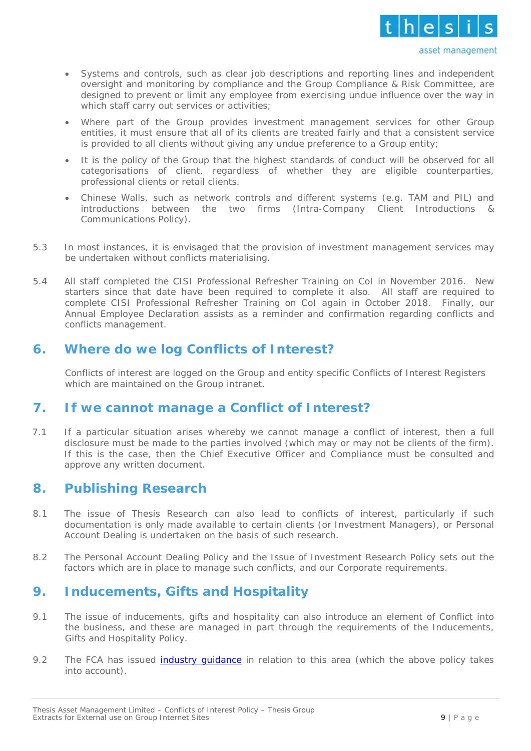

- Systems and controls, such as clear job descriptions and reporting lines and independent oversight and monitoring by compliance and the Group Compliance & Risk Committee, are designed to prevent or limit any employee from exercising undue influence over the way in which staff carry out services or activities;
- Where part of the Group provides investment management services for other Group entities, it must ensure that all of its clients are treated fairly and that a consistent service is provided to all clients without giving any undue preference to a Group entity;
- It is the policy of the Group that the highest standards of conduct will be observed for all categorisations of client, regardless of whether they are eligible counterparties, professional clients or retail clients.
- Chinese Walls, such as network controls and different systems (e.g. TAM and PIL) and introductions between the two firms (Intra-Company Client Introductions & Communications Policy).
- 5.3 In most instances, it is envisaged that the provision of investment management services may be undertaken without conflicts materialising.
- 5.4 All staff completed the CISI Professional Refresher Training on CoI in November 2016. New starters since that date have been required to complete it also. All staff are required to complete CISI Professional Refresher Training on CoI again in October 2018. Finally, our Annual Employee Declaration assists as a reminder and confirmation regarding conflicts and conflicts management.

### <span id="page-8-0"></span>**6. Where do we log Conflicts of Interest?**

Conflicts of interest are logged on the Group and entity specific Conflicts of Interest Registers which are maintained on the Group intranet.

### <span id="page-8-4"></span><span id="page-8-1"></span>**7. If we cannot manage a Conflict of Interest?**

7.1 If a particular situation arises whereby we cannot manage a conflict of interest, then a full disclosure must be made to the parties involved (which may or may not be clients of the firm). If this is the case, then the Chief Executive Officer and Compliance must be consulted and approve any written document.

### <span id="page-8-2"></span>**8. Publishing Research**

- 8.1 The issue of Thesis Research can also lead to conflicts of interest, particularly if such documentation is only made available to certain clients (or Investment Managers), or Personal Account Dealing is undertaken on the basis of such research.
- 8.2 The Personal Account Dealing Policy and the Issue of Investment Research Policy sets out the factors which are in place to manage such conflicts, and our Corporate requirements.

### <span id="page-8-3"></span>**9. Inducements, Gifts and Hospitality**

- 9.1 The issue of inducements, gifts and hospitality can also introduce an element of Conflict into the business, and these are managed in part through the requirements of the Inducements, Gifts and Hospitality Policy.
- 9.2 The FCA has issued industry quidance in relation to this area (which the above policy takes into account).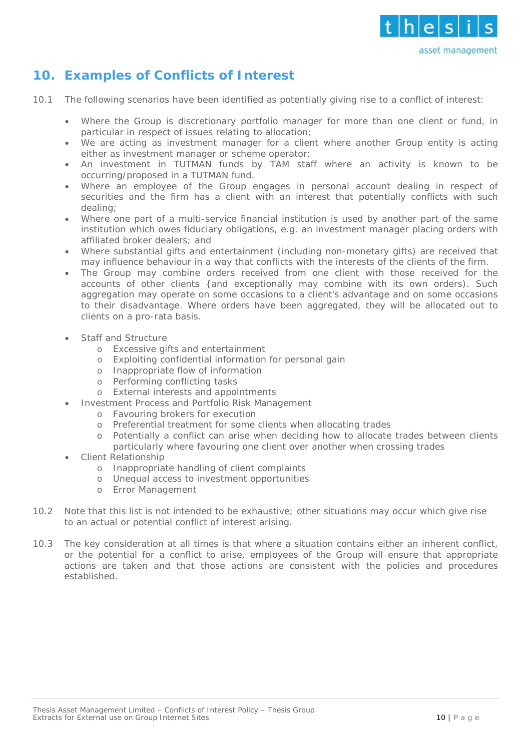

## <span id="page-9-0"></span>**10. Examples of Conflicts of Interest**

- 10.1 The following scenarios have been identified as potentially giving rise to a conflict of interest:
	- Where the Group is discretionary portfolio manager for more than one client or fund, in particular in respect of issues relating to allocation;
	- We are acting as investment manager for a client where another Group entity is acting either as investment manager or scheme operator;
	- An investment in TUTMAN funds by TAM staff where an activity is known to be occurring/proposed in a TUTMAN fund.
	- Where an employee of the Group engages in personal account dealing in respect of securities and the firm has a client with an interest that potentially conflicts with such dealing;
	- Where one part of a multi-service financial institution is used by another part of the same institution which owes fiduciary obligations, e.g. an investment manager placing orders with affiliated broker dealers; and
	- Where substantial gifts and entertainment (including non-monetary gifts) are received that may influence behaviour in a way that conflicts with the interests of the clients of the firm.
	- The Group may combine orders received from one client with those received for the accounts of other clients {and exceptionally may combine with its own orders). Such aggregation may operate on some occasions to a client's advantage and on some occasions to their disadvantage. Where orders have been aggregated, they will be allocated out to clients on a pro-rata basis.
	- Staff and Structure
		- o Excessive gifts and entertainment
		- o Exploiting confidential information for personal gain
		- o Inappropriate flow of information
		- o Performing conflicting tasks
		- o External interests and appointments
		- Investment Process and Portfolio Risk Management
			- o Favouring brokers for execution
			- Preferential treatment for some clients when allocating trades
			- o Potentially a conflict can arise when deciding how to allocate trades between clients particularly where favouring one client over another when crossing trades
	- Client Relationship
		- o Inappropriate handling of client complaints
		- o Unequal access to investment opportunities
		- o Error Management
- 10.2 Note that this list is not intended to be exhaustive; other situations may occur which give rise to an actual or potential conflict of interest arising.
- 10.3 The key consideration at all times is that where a situation contains either an inherent conflict, or the potential for a conflict to arise, employees of the Group will ensure that appropriate actions are taken and that those actions are consistent with the policies and procedures established.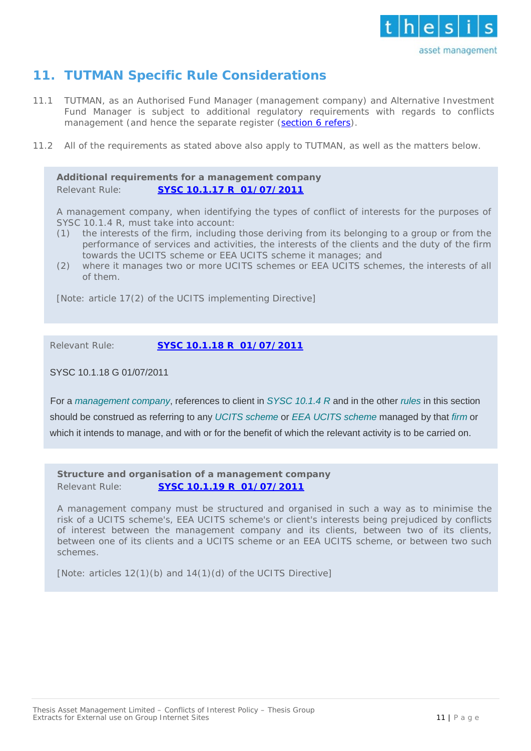

## <span id="page-10-0"></span>**11. TUTMAN Specific Rule Considerations**

- 11.1 TUTMAN, as an Authorised Fund Manager (management company) and Alternative Investment Fund Manager is subject to additional regulatory requirements with regards to conflicts management (and hence the separate register [\(section 6](#page-8-4) refers).
- 11.2 All of the requirements as stated above also apply to TUTMAN, as well as the matters below.

**Additional requirements for a management company** Relevant Rule: **SYSC 10.1.17 R 01/07/2011**

A management company, when identifying the types of conflict of interests for the purposes of SYSC 10.1.4 R, must take into account:

- (1) the interests of the firm, including those deriving from its belonging to a group or from the performance of services and activities, the interests of the clients and the duty of the firm towards the UCITS scheme or EEA UCITS scheme it manages; and
- (2) where it manages two or more UCITS schemes or EEA UCITS schemes, the interests of all of them.

[Note: article 17(2) of the UCITS implementing Directive]

Relevant Rule: **SYSC 10.1.18 R 01/07/2011**

### SYSC 10.1.18 G 01/07/2011

<sup>5</sup>[F](https://www.handbook.fca.org.uk/instrument/2011/2011_39.pdf)or a *[management company](https://www.handbook.fca.org.uk/handbook/glossary/G2455.html?date=2018-01-03)*, references to client in *[SYSC 10.1.4 R](https://www.handbook.fca.org.uk/handbook/SYSC/10/1.html?date=2018-01-03#D70)* and in the other *[rules](https://www.handbook.fca.org.uk/handbook/glossary/G1036.html?date=2018-01-03)* in this section should be construed as referring to any *[UCITS scheme](https://www.handbook.fca.org.uk/handbook/glossary/G1204.html?date=2018-01-03)* or *[EEA UCITS scheme](https://www.handbook.fca.org.uk/handbook/glossary/G2868.html?date=2018-01-03)* managed by that *[firm](https://www.handbook.fca.org.uk/handbook/glossary/G430.html?date=2018-01-03)* or which it intends to manage, and with or for the benefit of which the relevant activity is to be carried on.

**Structure and organisation of a management company** Relevant Rule: **SYSC 10.1.19 R 01/07/2011**

A management company must be structured and organised in such a way as to minimise the risk of a UCITS scheme's, EEA UCITS scheme's or client's interests being prejudiced by conflicts of interest between the management company and its clients, between two of its clients, between one of its clients and a UCITS scheme or an EEA UCITS scheme, or between two such schemes.

[Note: articles 12(1)(b) and 14(1)(d) of the UCITS Directive]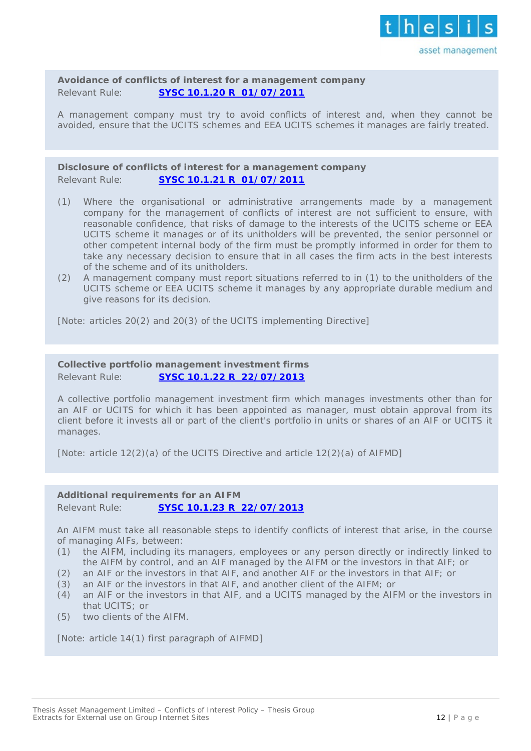

**Avoidance of conflicts of interest for a management company** Relevant Rule: **SYSC 10.1.20 R 01/07/2011**

A management company must try to avoid conflicts of interest and, when they cannot be avoided, ensure that the UCITS schemes and EEA UCITS schemes it manages are fairly treated.

**Disclosure of conflicts of interest for a management company** Relevant Rule: **SYSC 10.1.21 R 01/07/2011**

- (1) Where the organisational or administrative arrangements made by a management company for the management of conflicts of interest are not sufficient to ensure, with reasonable confidence, that risks of damage to the interests of the UCITS scheme or EEA UCITS scheme it manages or of its unitholders will be prevented, the senior personnel or other competent internal body of the firm must be promptly informed in order for them to take any necessary decision to ensure that in all cases the firm acts in the best interests of the scheme and of its unitholders.
- (2) A management company must report situations referred to in (1) to the unitholders of the UCITS scheme or EEA UCITS scheme it manages by any appropriate durable medium and give reasons for its decision.

[Note: articles 20(2) and 20(3) of the UCITS implementing Directive]

#### **Collective portfolio management investment firms** Relevant Rule: **SYSC 10.1.22 R 22/07/2013**

A collective portfolio management investment firm which manages investments other than for an AIF or UCITS for which it has been appointed as manager, must obtain approval from its client before it invests all or part of the client's portfolio in units or shares of an AIF or UCITS it manages.

[Note: article 12(2)(a) of the UCITS Directive and article 12(2)(a) of AIFMD]

### **Additional requirements for an AIFM**

Relevant Rule: **SYSC 10.1.23 R 22/07/2013**

An AIFM must take all reasonable steps to identify conflicts of interest that arise, in the course of managing AIFs, between:

- (1) the AIFM, including its managers, employees or any person directly or indirectly linked to the AIFM by control, and an AIF managed by the AIFM or the investors in that AIF; or
- (2) an AIF or the investors in that AIF, and another AIF or the investors in that AIF; or
- (3) an AIF or the investors in that AIF, and another client of the AIFM; or
- (4) an AIF or the investors in that AIF, and a UCITS managed by the AIFM or the investors in that UCITS; or
- (5) two clients of the AIFM.

[Note: article 14(1) first paragraph of AIFMD]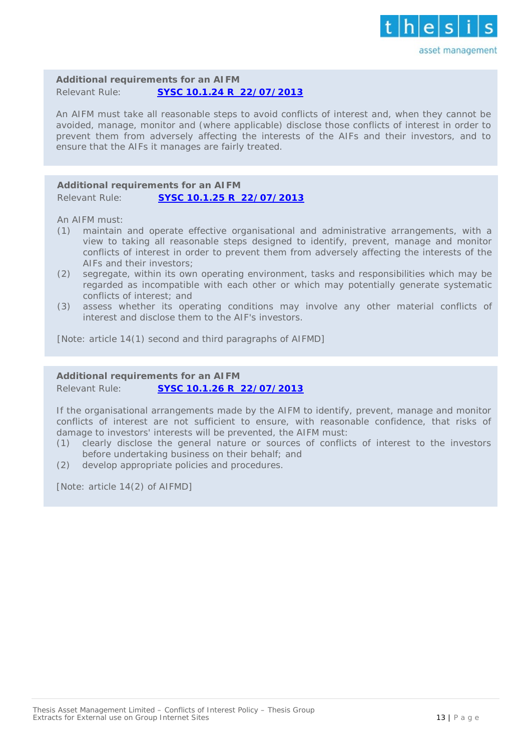

**Additional requirements for an AIFM** Relevant Rule: **SYSC 10.1.24 R 22/07/2013**

An AIFM must take all reasonable steps to avoid conflicts of interest and, when they cannot be avoided, manage, monitor and (where applicable) disclose those conflicts of interest in order to prevent them from adversely affecting the interests of the AIFs and their investors, and to ensure that the AIFs it manages are fairly treated.

#### **Additional requirements for an AIFM** Relevant Rule: **SYSC 10.1.25 R 22/07/2013**

An AIFM must:

- (1) maintain and operate effective organisational and administrative arrangements, with a view to taking all reasonable steps designed to identify, prevent, manage and monitor conflicts of interest in order to prevent them from adversely affecting the interests of the AIFs and their investors;
- (2) segregate, within its own operating environment, tasks and responsibilities which may be regarded as incompatible with each other or which may potentially generate systematic conflicts of interest; and
- (3) assess whether its operating conditions may involve any other material conflicts of interest and disclose them to the AIF's investors.

[Note: article 14(1) second and third paragraphs of AIFMD]

### **Additional requirements for an AIFM** Relevant Rule: **SYSC 10.1.26 R 22/07/2013**

If the organisational arrangements made by the AIFM to identify, prevent, manage and monitor conflicts of interest are not sufficient to ensure, with reasonable confidence, that risks of damage to investors' interests will be prevented, the AIFM must:

- (1) clearly disclose the general nature or sources of conflicts of interest to the investors before undertaking business on their behalf; and
- (2) develop appropriate policies and procedures.

[Note: article 14(2) of AIFMD]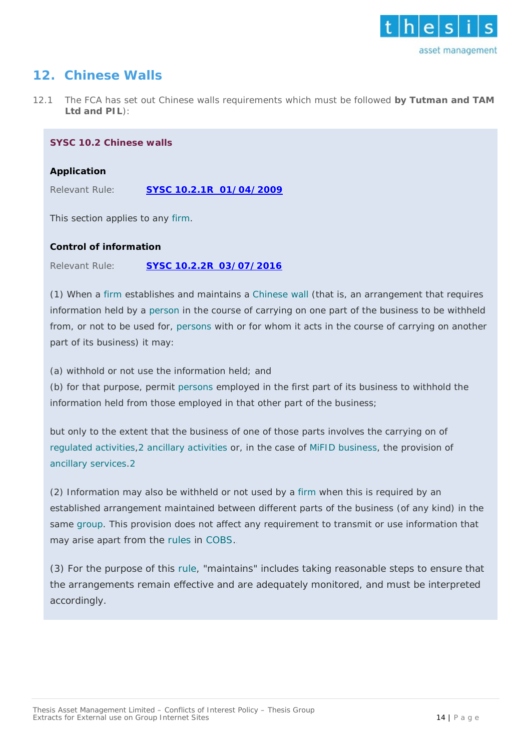

### <span id="page-13-0"></span>**12. Chinese Walls**

12.1 The FCA has set out Chinese walls requirements which must be followed **by Tutman and TAM Ltd and PIL**):

#### **SYSC 10.2 Chinese walls**

#### *Application*

Relevant Rule: **SYSC 10.2.1R 01/04/2009**

This section applies to any *[firm](https://www.handbook.fca.org.uk/handbook/glossary/G430.html?date=2018-01-03)*.

### *Control of information*

Relevant Rule: **SYSC 10.2.2R 03/07/2016**

(1) When a *[firm](https://www.handbook.fca.org.uk/handbook/glossary/G430.html?date=2018-01-03)* establishes and maintains a *[Chinese wall](https://www.handbook.fca.org.uk/handbook/glossary/G148.html?date=2018-01-03)* (that is, an arrangement that requires information held by a *[person](https://www.handbook.fca.org.uk/handbook/glossary/G869.html?date=2018-01-03)* in the course of carrying on one part of the business to be withheld from, or not to be used for, *[persons](https://www.handbook.fca.org.uk/handbook/glossary/G869.html?date=2018-01-03)* with or for whom it acts in the course of carrying on another part of its business) it may:

(a) withhold or not use the information held; and

(b) for that purpose, permit *[persons](https://www.handbook.fca.org.uk/handbook/glossary/G869.html?date=2018-01-03)* employed in the first part of its business to withhold the information held from those employed in that other part of the business;

but only to the extent that the business of one of those parts involves the carrying on of *[regulated activities](https://www.handbook.fca.org.uk/handbook/glossary/G974.html?date=2018-01-03)*[,2](https://www.handbook.fca.org.uk/instrument/2007/2007_9.pdf) *[ancillary activities](https://www.handbook.fca.org.uk/handbook/glossary/G36.html?date=2018-01-03)* or, in the case of *[MiFID business](https://www.handbook.fca.org.uk/handbook/glossary/G1976.html?date=2018-01-03)*, the provision of *[ancillary services](https://www.handbook.fca.org.uk/handbook/glossary/G1965.html?date=2018-01-03)*[.2](https://www.handbook.fca.org.uk/instrument/2007/2007_9.pdf)

(2) Information may also be withheld or not used by a *[firm](https://www.handbook.fca.org.uk/handbook/glossary/G430.html?date=2018-01-03)* when this is required by an established arrangement maintained between different parts of the business (of any kind) in the same *[group](https://www.handbook.fca.org.uk/handbook/glossary/G486.html?date=2018-01-03)*. This provision does not affect any requirement to transmit or use information that may arise apart from the *[rules](https://www.handbook.fca.org.uk/handbook/glossary/G1036.html?date=2018-01-03)* in *[COBS](https://www.handbook.fca.org.uk/handbook/glossary/G2360.html?date=2018-01-03)*.

(3) For the purpose of this *[rule](https://www.handbook.fca.org.uk/handbook/glossary/G1036.html?date=2018-01-03)*, "maintains" includes taking reasonable steps to ensure that the arrangements remain effective and are adequately monitored, and must be interpreted accordingly.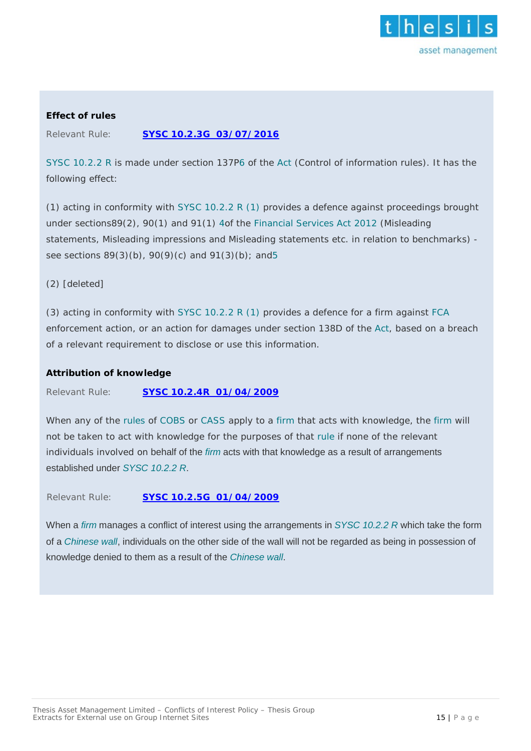

### *Effect of rules*

Relevant Rule: **SYSC 10.2.3G 03/07/2016**

*SYSC [10.2.2 R](https://www.handbook.fca.org.uk/handbook/SYSC/10/2.html?date=2018-01-03#DES131)* is made under section 137[P6](https://www.handbook.fca.org.uk/instrument/2013/FCA_2013_10_PRA_2013_5.pdf) of the *[Act](https://www.handbook.fca.org.uk/handbook/glossary/G10.html?date=2018-01-03)* (Control of information rules). It has the following effect:

(1) acting in conformity with *[SYSC 10.2.2 R \(1\)](https://www.handbook.fca.org.uk/handbook/SYSC/10/2.html?date=2018-01-03#DES133)* provides a defence against proceedings brought under sections89(2), 90(1) and 91(1) [4o](https://www.handbook.fca.org.uk/instrument/2015/FCA_2015_37.pdf)f the *[Financial Services Act 2012](http://www.legislation.gov.uk/ukpga/2012/21/2013-06-10)* (Misleading statements, Misleading impressions and Misleading statements etc. in relation to benchmarks) see sections 89(3)(b), 90(9)(c) and 91(3)(b); and 5

(2) [deleted]

(3) acting in conformity with *[SYSC 10.2.2 R \(1\)](https://www.handbook.fca.org.uk/handbook/SYSC/10/2.html?date=2018-01-03#DES133)* provides a defence for a firm against *[FCA](https://www.handbook.fca.org.uk/handbook/glossary/G2974.html?date=2018-01-03)* enforcement action, or an action for damages under section 138D of the *[Act](https://www.handbook.fca.org.uk/handbook/glossary/G10.html?date=2018-01-03)*, based on a breach of a relevant requirement to disclose or use this information.

### *Attribution of knowledge*

Relevant Rule: **SYSC 10.2.4R 01/04/2009**

When any of the *[rules](https://www.handbook.fca.org.uk/handbook/glossary/G1036.html?date=2018-01-03)* of *[COBS](https://www.handbook.fca.org.uk/handbook/glossary/G2360.html?date=2018-01-03)* or *[CASS](https://www.handbook.fca.org.uk/handbook/glossary/G136.html?date=2018-01-03)* apply to a *[firm](https://www.handbook.fca.org.uk/handbook/glossary/G430.html?date=2018-01-03)* that acts with knowledge, the *[firm](https://www.handbook.fca.org.uk/handbook/glossary/G430.html?date=2018-01-03)* will not be taken to act with knowledge for the purposes of that *[rule](https://www.handbook.fca.org.uk/handbook/glossary/G1036.html?date=2018-01-03)* if none of the relevant individuals involved on behalf of the *[firm](https://www.handbook.fca.org.uk/handbook/glossary/G430.html?date=2018-01-03)* acts with that knowledge as a result of arrangements established under *[SYSC 10.2.2 R](https://www.handbook.fca.org.uk/handbook/SYSC/10/2.html?date=2018-01-03#DES131)*.

<sup>1</sup>[R](https://www.handbook.fca.org.uk/instrument/2007/2007_58.pdf)elevant Rule: **SYSC 10.2.5G 01/04/2009**

When a *[firm](https://www.handbook.fca.org.uk/handbook/glossary/G430.html?date=2018-01-03)* manages a conflict of interest using the arrangements in *SYSC [10.2.2 R](https://www.handbook.fca.org.uk/handbook/SYSC/10/2.html?date=2018-01-03#DES131)* which take the form of a *[Chinese wall](https://www.handbook.fca.org.uk/handbook/glossary/G148.html?date=2018-01-03)*, individuals on the other side of the wall will not be regarded as being in possession of knowledge denied to them as a result of the *[Chinese wall](https://www.handbook.fca.org.uk/handbook/glossary/G148.html?date=2018-01-03)*.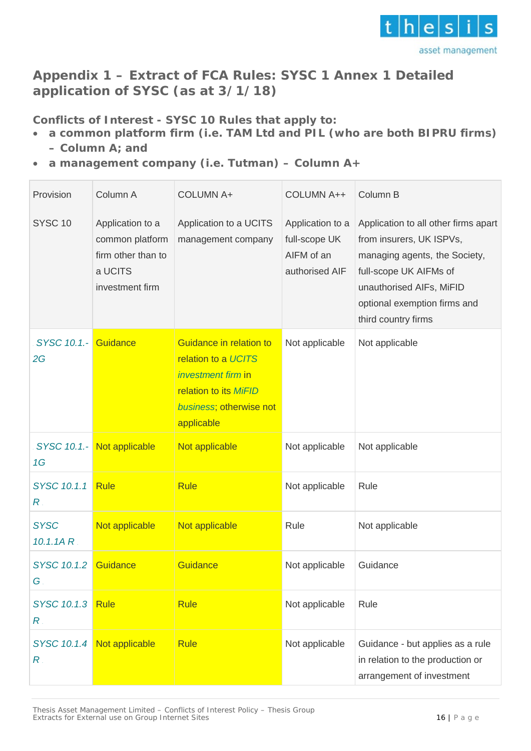

### <span id="page-15-0"></span>**Appendix 1 – Extract of FCA Rules: SYSC 1 Annex 1 Detailed application of SYSC (as at 3/1/18)**

**Conflicts of Interest - SYSC 10 Rules that apply to:**

- **a common platform firm (i.e. TAM Ltd and PIL (who are both BIPRU firms) – Column A; and**
- **a management company (i.e. Tutman) – Column A+**

| Provision                  | Column A                                                                                | <b>COLUMN A+</b>                                                                                                                       | <b>COLUMN A++</b>                                                 | Column B                                                                                                                                                                                                        |
|----------------------------|-----------------------------------------------------------------------------------------|----------------------------------------------------------------------------------------------------------------------------------------|-------------------------------------------------------------------|-----------------------------------------------------------------------------------------------------------------------------------------------------------------------------------------------------------------|
| SYSC <sub>10</sub>         | Application to a<br>common platform<br>firm other than to<br>a UCITS<br>investment firm | Application to a UCITS<br>management company                                                                                           | Application to a<br>full-scope UK<br>AIFM of an<br>authorised AIF | Application to all other firms apart<br>from insurers, UK ISPVs,<br>managing agents, the Society,<br>full-scope UK AIFMs of<br>unauthorised AIFs, MiFID<br>optional exemption firms and<br>third country firms. |
| SYSC 10.1.- Guidance<br>2G |                                                                                         | Guidance in relation to<br>relation to a UCITS<br>investment firm in<br>relation to its MiFID<br>business; otherwise not<br>applicable | Not applicable                                                    | Not applicable                                                                                                                                                                                                  |
| SYSC 10.1 .-<br>1G         | Not applicable                                                                          | Not applicable                                                                                                                         | Not applicable                                                    | Not applicable                                                                                                                                                                                                  |
| SYSC 10.1.1<br>$R$ .       | <b>Rule</b>                                                                             | <b>Rule</b>                                                                                                                            | Not applicable                                                    | Rule                                                                                                                                                                                                            |
| <b>SYSC</b><br>$10.1.1A$ R | Not applicable                                                                          | Not applicable                                                                                                                         | Rule                                                              | Not applicable                                                                                                                                                                                                  |
| SYSC 10.1.2<br>G           | Guidance                                                                                | Guidance                                                                                                                               | Not applicable                                                    | Guidance                                                                                                                                                                                                        |
| SYSC 10.1.3<br>$R$ .       | <b>Rule</b>                                                                             | <b>Rule</b>                                                                                                                            | Not applicable                                                    | Rule                                                                                                                                                                                                            |
| SYSC 10.1.4<br>$R$ .       | Not applicable                                                                          | <b>Rule</b>                                                                                                                            | Not applicable                                                    | Guidance - but applies as a rule<br>in relation to the production or<br>arrangement of investment                                                                                                               |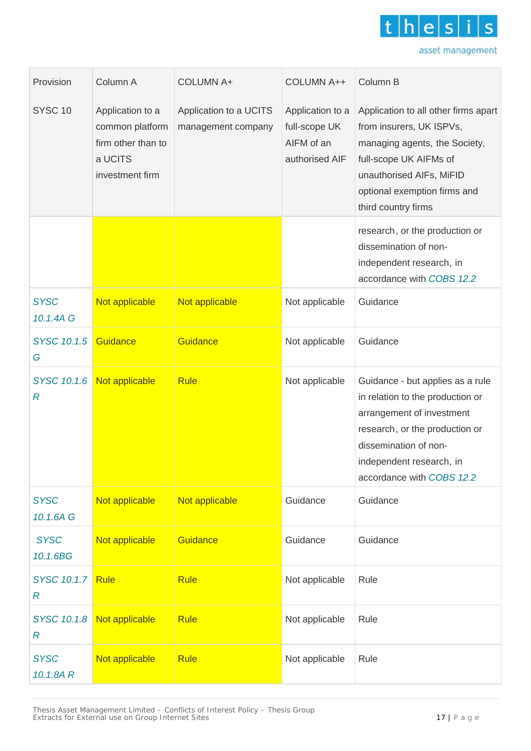

| Provision                                    | Column A                                                                                | <b>COLUMN A+</b>                             | <b>COLUMN A++</b>                                                 | Column B                                                                                                                                                                                                               |
|----------------------------------------------|-----------------------------------------------------------------------------------------|----------------------------------------------|-------------------------------------------------------------------|------------------------------------------------------------------------------------------------------------------------------------------------------------------------------------------------------------------------|
| SYSC <sub>10</sub>                           | Application to a<br>common platform<br>firm other than to<br>a UCITS<br>investment firm | Application to a UCITS<br>management company | Application to a<br>full-scope UK<br>AIFM of an<br>authorised AIF | Application to all other firms apart<br>from insurers, UK ISPVs,<br>managing agents, the Society,<br>full-scope UK AIFMs of<br>unauthorised AIFs, MiFID<br>optional exemption firms and<br>third country firms.        |
|                                              |                                                                                         |                                              |                                                                   | research, or the production or<br>dissemination of non-<br>independent research, in<br>accordance with COBS 12.2                                                                                                       |
| <b>SYSC</b><br>10.1.4A G                     | Not applicable                                                                          | Not applicable                               | Not applicable                                                    | Guidance                                                                                                                                                                                                               |
| SYSC 10.1.5<br>$G$ .                         | Guidance                                                                                | Guidance                                     | Not applicable                                                    | Guidance                                                                                                                                                                                                               |
| SYSC 10.1.6<br>$R$ .                         | Not applicable                                                                          | <b>Rule</b>                                  | Not applicable                                                    | Guidance - but applies as a rule<br>in relation to the production or<br>arrangement of investment<br>research., or the production or<br>dissemination of non-<br>independent research, in<br>accordance with COBS 12.2 |
| <b>SYSC</b><br>10.1.6A G                     | Not applicable                                                                          | Not applicable                               | Guidance.                                                         | Guidance                                                                                                                                                                                                               |
| <b>SYSC</b><br>10.1.6BG                      | Not applicable                                                                          | Guidance                                     | Guidance                                                          | Guidance                                                                                                                                                                                                               |
| SYSC 10.1.7<br>$R_{\scriptscriptstyle\perp}$ | <b>Rule</b>                                                                             | <b>Rule</b>                                  | Not applicable                                                    | Rule                                                                                                                                                                                                                   |
| SYSC 10.1.8<br>$R_{\cdot}$                   | Not applicable                                                                          | <b>Rule</b>                                  | Not applicable                                                    | Rule                                                                                                                                                                                                                   |
| <b>SYSC</b><br>10.1.8AR                      | Not applicable                                                                          | <b>Rule</b>                                  | Not applicable                                                    | Rule                                                                                                                                                                                                                   |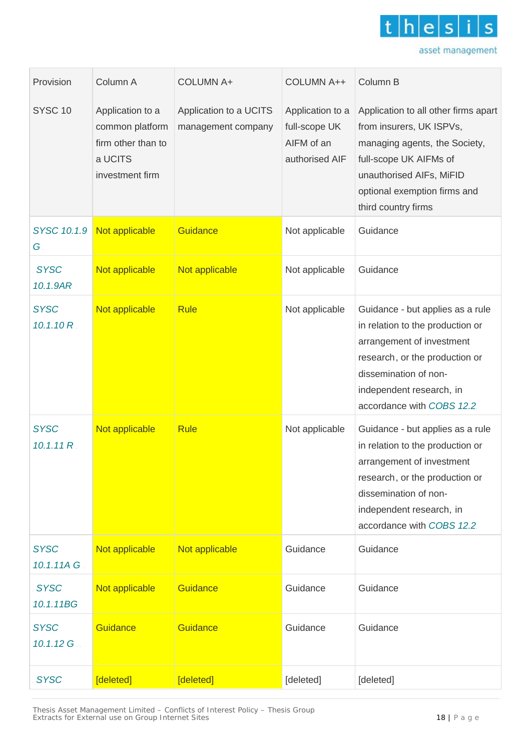

| Provision                          | Column A                                                                                | <b>COLUMN A+</b>                             | COLUMN A++                                                        | Column B                                                                                                                                                                                                              |
|------------------------------------|-----------------------------------------------------------------------------------------|----------------------------------------------|-------------------------------------------------------------------|-----------------------------------------------------------------------------------------------------------------------------------------------------------------------------------------------------------------------|
| SYSC <sub>10</sub>                 | Application to a<br>common platform<br>firm other than to<br>a UCITS<br>investment firm | Application to a UCITS<br>management company | Application to a<br>full-scope UK<br>AIFM of an<br>authorised AIF | Application to all other firms apart<br>from insurers, UK ISPVs,<br>managing agents, the Society,<br>full-scope UK AIFMs of<br>unauthorised AIFs, MiFID<br>optional exemption firms and<br>third country firms.       |
| SYSC 10.1.9<br>G.                  | Not applicable                                                                          | Guidance                                     | Not applicable                                                    | Guidance                                                                                                                                                                                                              |
| <b>SYSC</b><br>10.1.9AR            | Not applicable                                                                          | Not applicable                               | Not applicable                                                    | Guidance                                                                                                                                                                                                              |
| <b>SYSC</b><br>10.1.10 R           | Not applicable                                                                          | <b>Rule</b>                                  | Not applicable                                                    | Guidance - but applies as a rule<br>in relation to the production or<br>arrangement of investment<br>research, or the production or<br>dissemination of non-<br>independent research, in<br>accordance with COBS 12.2 |
| <b>SYSC</b><br>10.1.11R            | Not applicable                                                                          | <b>Rule</b>                                  | Not applicable                                                    | Guidance - but applies as a rule<br>in relation to the production or<br>arrangement of investment<br>research, or the production or<br>dissemination of non-<br>independent research, in<br>accordance with COBS 12.2 |
| <b>SYSC</b><br>10.1.11A G.         | Not applicable                                                                          | Not applicable                               | Guidance.                                                         | Guidance                                                                                                                                                                                                              |
| <b>SYSC</b><br>10.1.11BG           | Not applicable                                                                          | Guidance                                     | Guidance                                                          | Guidance                                                                                                                                                                                                              |
| <b>SYSC</b><br>$10.1.12 \text{ G}$ | <b>Guidance</b>                                                                         | <b>Guidance</b>                              | Guidance.                                                         | Guidance                                                                                                                                                                                                              |
| <b>SYSC</b>                        | [deleted]                                                                               | [deleted]                                    | [deleted]                                                         | [deleted]                                                                                                                                                                                                             |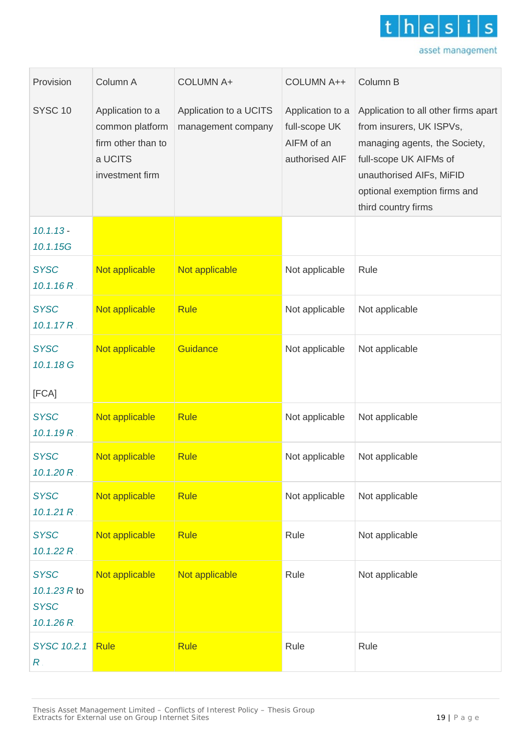

| Provision                                               | Column A                                                                                | <b>COLUMN A+</b>                             | <b>COLUMN A++</b>                                                 | Column B                                                                                                                                                                                                        |
|---------------------------------------------------------|-----------------------------------------------------------------------------------------|----------------------------------------------|-------------------------------------------------------------------|-----------------------------------------------------------------------------------------------------------------------------------------------------------------------------------------------------------------|
| SYSC <sub>10</sub>                                      | Application to a<br>common platform<br>firm other than to<br>a UCITS<br>investment firm | Application to a UCITS<br>management company | Application to a<br>full-scope UK<br>AIFM of an<br>authorised AIF | Application to all other firms apart<br>from insurers, UK ISPVs,<br>managing agents, the Society,<br>full-scope UK AIFMs of<br>unauthorised AIFs, MiFID<br>optional exemption firms and<br>third country firms. |
| $10.1.13 -$<br>10.1.15G                                 |                                                                                         |                                              |                                                                   |                                                                                                                                                                                                                 |
| <b>SYSC</b><br>10.1.16R                                 | Not applicable                                                                          | Not applicable                               | Not applicable                                                    | Rule                                                                                                                                                                                                            |
| <b>SYSC</b><br>10.1.17R                                 | Not applicable                                                                          | <b>Rule</b>                                  | Not applicable                                                    | Not applicable                                                                                                                                                                                                  |
| <b>SYSC</b><br>10.1.18 G                                | Not applicable                                                                          | Guidance                                     | Not applicable                                                    | Not applicable                                                                                                                                                                                                  |
| [FCA]                                                   |                                                                                         |                                              |                                                                   |                                                                                                                                                                                                                 |
| <b>SYSC</b><br>10.1.19 R                                | Not applicable                                                                          | <b>Rule</b>                                  | Not applicable                                                    | Not applicable                                                                                                                                                                                                  |
| <b>SYSC</b><br>10.1.20 R .                              | Not applicable                                                                          | <b>Rule</b>                                  | Not applicable                                                    | Not applicable                                                                                                                                                                                                  |
| <b>SYSC</b><br>10.1.21 R                                | Not applicable                                                                          | <b>Rule</b>                                  | Not applicable                                                    | Not applicable                                                                                                                                                                                                  |
| <b>SYSC</b><br>10.1.22 R                                | Not applicable                                                                          | <b>Rule</b>                                  | Rule                                                              | Not applicable                                                                                                                                                                                                  |
| <b>SYSC</b><br>10.1.23 R to<br><b>SYSC</b><br>10.1.26 R | Not applicable                                                                          | Not applicable                               | Rule                                                              | Not applicable                                                                                                                                                                                                  |
| SYSC 10.2.1<br>$\overline{\mathsf{R}}$ .                | <b>Rule</b>                                                                             | <b>Rule</b>                                  | Rule                                                              | Rule                                                                                                                                                                                                            |